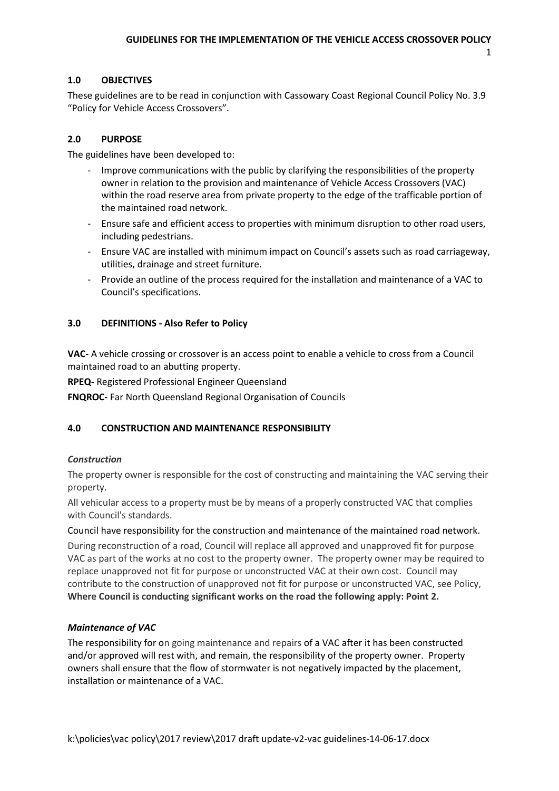1

## **1.0 OBJECTIVES**

These guidelines are to be read in conjunction with Cassowary Coast Regional Council Policy No. 3.9 "Policy for Vehicle Access Crossovers".

## **2.0 PURPOSE**

The guidelines have been developed to:

- Improve communications with the public by clarifying the responsibilities of the property owner in relation to the provision and maintenance of Vehicle Access Crossovers (VAC) within the road reserve area from private property to the edge of the trafficable portion of the maintained road network.
- Ensure safe and efficient access to properties with minimum disruption to other road users, including pedestrians.
- Ensure VAC are installed with minimum impact on Council's assets such as road carriageway, utilities, drainage and street furniture.
- Provide an outline of the process required for the installation and maintenance of a VAC to Council's specifications.

## **3.0 DEFINITIONS - Also Refer to Policy**

**VAC-** A vehicle crossing or crossover is an access point to enable a vehicle to cross from a Council maintained road to an abutting property.

**RPEQ-** Registered Professional Engineer Queensland

**FNQROC-** Far North Queensland Regional Organisation of Councils

### **4.0 CONSTRUCTION AND MAINTENANCE RESPONSIBILITY**

### *Construction*

The property owner is responsible for the cost of constructing and maintaining the VAC serving their property.

All vehicular access to a property must be by means of a properly constructed VAC that complies with Council's standards.

Council have responsibility for the construction and maintenance of the maintained road network.

During reconstruction of a road, Council will replace all approved and unapproved fit for purpose VAC as part of the works at no cost to the property owner. The property owner may be required to replace unapproved not fit for purpose or unconstructed VAC at their own cost. Council may contribute to the construction of unapproved not fit for purpose or unconstructed VAC, see Policy, **Where Council is conducting significant works on the road the following apply: Point 2.** 

### *Maintenance of VAC*

The responsibility for on going maintenance and repairs of a VAC after it has been constructed and/or approved will rest with, and remain, the responsibility of the property owner. Property owners shall ensure that the flow of stormwater is not negatively impacted by the placement, installation or maintenance of a VAC.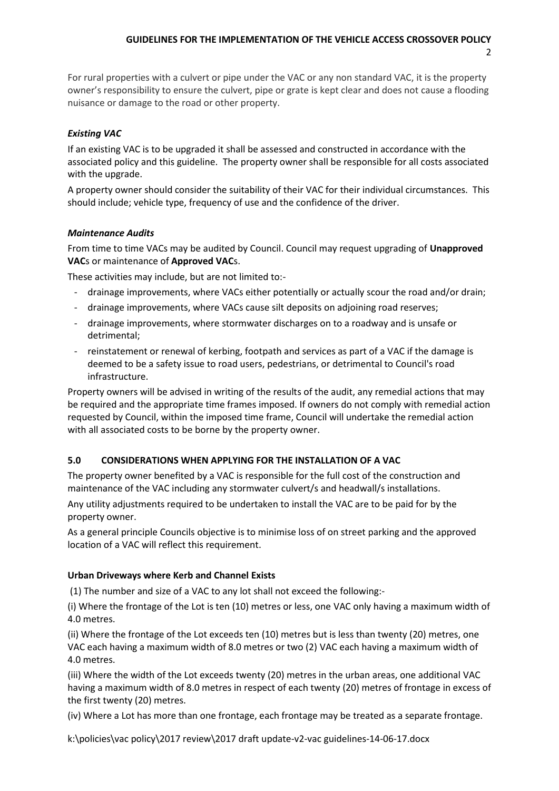# **GUIDELINES FOR THE IMPLEMENTATION OF THE VEHICLE ACCESS CROSSOVER POLICY**

2

For rural properties with a culvert or pipe under the VAC or any non standard VAC, it is the property owner's responsibility to ensure the culvert, pipe or grate is kept clear and does not cause a flooding nuisance or damage to the road or other property.

## *Existing VAC*

If an existing VAC is to be upgraded it shall be assessed and constructed in accordance with the associated policy and this guideline. The property owner shall be responsible for all costs associated with the upgrade.

A property owner should consider the suitability of their VAC for their individual circumstances. This should include; vehicle type, frequency of use and the confidence of the driver.

## *Maintenance Audits*

From time to time VACs may be audited by Council. Council may request upgrading of **Unapproved VAC**s or maintenance of **Approved VAC**s.

These activities may include, but are not limited to:-

- drainage improvements, where VACs either potentially or actually scour the road and/or drain;
- drainage improvements, where VACs cause silt deposits on adjoining road reserves;
- drainage improvements, where stormwater discharges on to a roadway and is unsafe or detrimental;
- reinstatement or renewal of kerbing, footpath and services as part of a VAC if the damage is deemed to be a safety issue to road users, pedestrians, or detrimental to Council's road infrastructure.

Property owners will be advised in writing of the results of the audit, any remedial actions that may be required and the appropriate time frames imposed. If owners do not comply with remedial action requested by Council, within the imposed time frame, Council will undertake the remedial action with all associated costs to be borne by the property owner.

# **5.0 CONSIDERATIONS WHEN APPLYING FOR THE INSTALLATION OF A VAC**

The property owner benefited by a VAC is responsible for the full cost of the construction and maintenance of the VAC including any stormwater culvert/s and headwall/s installations.

Any utility adjustments required to be undertaken to install the VAC are to be paid for by the property owner.

As a general principle Councils objective is to minimise loss of on street parking and the approved location of a VAC will reflect this requirement.

### **Urban Driveways where Kerb and Channel Exists**

(1) The number and size of a VAC to any lot shall not exceed the following:-

(i) Where the frontage of the Lot is ten (10) metres or less, one VAC only having a maximum width of 4.0 metres.

(ii) Where the frontage of the Lot exceeds ten (10) metres but is less than twenty (20) metres, one VAC each having a maximum width of 8.0 metres or two (2) VAC each having a maximum width of 4.0 metres.

(iii) Where the width of the Lot exceeds twenty (20) metres in the urban areas, one additional VAC having a maximum width of 8.0 metres in respect of each twenty (20) metres of frontage in excess of the first twenty (20) metres.

(iv) Where a Lot has more than one frontage, each frontage may be treated as a separate frontage.

k:\policies\vac policy\2017 review\2017 draft update-v2-vac guidelines-14-06-17.docx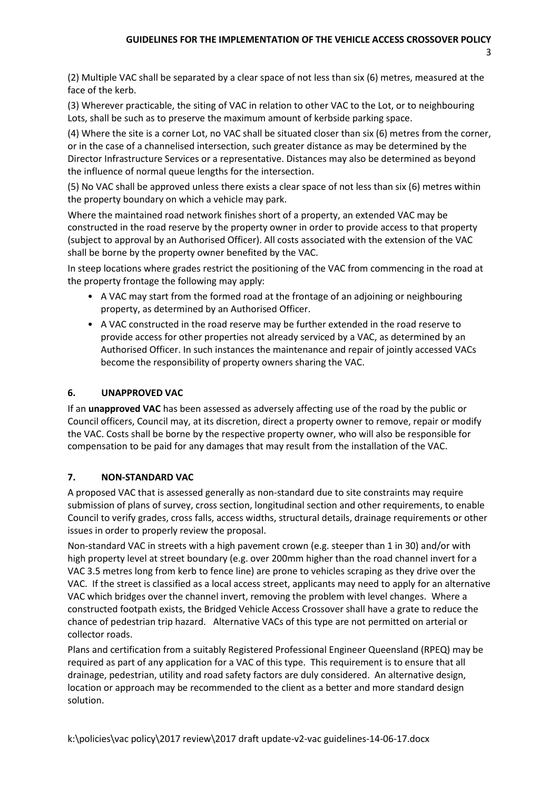3

(2) Multiple VAC shall be separated by a clear space of not less than six (6) metres, measured at the face of the kerb.

(3) Wherever practicable, the siting of VAC in relation to other VAC to the Lot, or to neighbouring Lots, shall be such as to preserve the maximum amount of kerbside parking space.

(4) Where the site is a corner Lot, no VAC shall be situated closer than six (6) metres from the corner, or in the case of a channelised intersection, such greater distance as may be determined by the Director Infrastructure Services or a representative. Distances may also be determined as beyond the influence of normal queue lengths for the intersection.

(5) No VAC shall be approved unless there exists a clear space of not less than six (6) metres within the property boundary on which a vehicle may park.

Where the maintained road network finishes short of a property, an extended VAC may be constructed in the road reserve by the property owner in order to provide access to that property (subject to approval by an Authorised Officer). All costs associated with the extension of the VAC shall be borne by the property owner benefited by the VAC.

In steep locations where grades restrict the positioning of the VAC from commencing in the road at the property frontage the following may apply:

- A VAC may start from the formed road at the frontage of an adjoining or neighbouring property, as determined by an Authorised Officer.
- A VAC constructed in the road reserve may be further extended in the road reserve to provide access for other properties not already serviced by a VAC, as determined by an Authorised Officer. In such instances the maintenance and repair of jointly accessed VACs become the responsibility of property owners sharing the VAC.

# **6. UNAPPROVED VAC**

If an **unapproved VAC** has been assessed as adversely affecting use of the road by the public or Council officers, Council may, at its discretion, direct a property owner to remove, repair or modify the VAC. Costs shall be borne by the respective property owner, who will also be responsible for compensation to be paid for any damages that may result from the installation of the VAC.

# **7. NON-STANDARD VAC**

A proposed VAC that is assessed generally as non-standard due to site constraints may require submission of plans of survey, cross section, longitudinal section and other requirements, to enable Council to verify grades, cross falls, access widths, structural details, drainage requirements or other issues in order to properly review the proposal.

Non-standard VAC in streets with a high pavement crown (e.g. steeper than 1 in 30) and/or with high property level at street boundary (e.g. over 200mm higher than the road channel invert for a VAC 3.5 metres long from kerb to fence line) are prone to vehicles scraping as they drive over the VAC. If the street is classified as a local access street, applicants may need to apply for an alternative VAC which bridges over the channel invert, removing the problem with level changes. Where a constructed footpath exists, the Bridged Vehicle Access Crossover shall have a grate to reduce the chance of pedestrian trip hazard. Alternative VACs of this type are not permitted on arterial or collector roads.

Plans and certification from a suitably Registered Professional Engineer Queensland (RPEQ) may be required as part of any application for a VAC of this type. This requirement is to ensure that all drainage, pedestrian, utility and road safety factors are duly considered. An alternative design, location or approach may be recommended to the client as a better and more standard design solution.